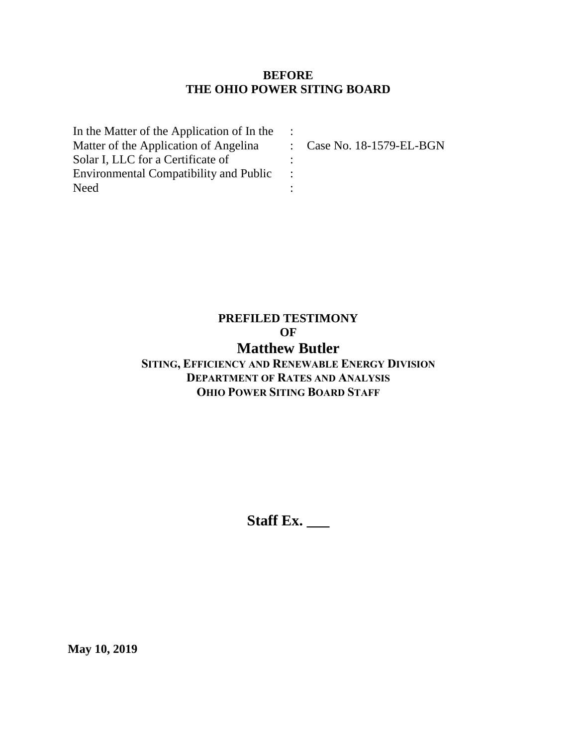### **BEFORE THE OHIO POWER SITING BOARD**

| In the Matter of the Application of In the    |                                      |
|-----------------------------------------------|--------------------------------------|
| Matter of the Application of Angelina         | $\therefore$ Case No. 18-1579-EL-BGN |
| Solar I, LLC for a Certificate of             |                                      |
| <b>Environmental Compatibility and Public</b> |                                      |
| Need                                          |                                      |

# **PREFILED TESTIMONY OF**

# **Matthew Butler**

## **SITING, EFFICIENCY AND RENEWABLE ENERGY DIVISION DEPARTMENT OF RATES AND ANALYSIS OHIO POWER SITING BOARD STAFF**

**Staff Ex. \_\_\_**

**May 10, 2019**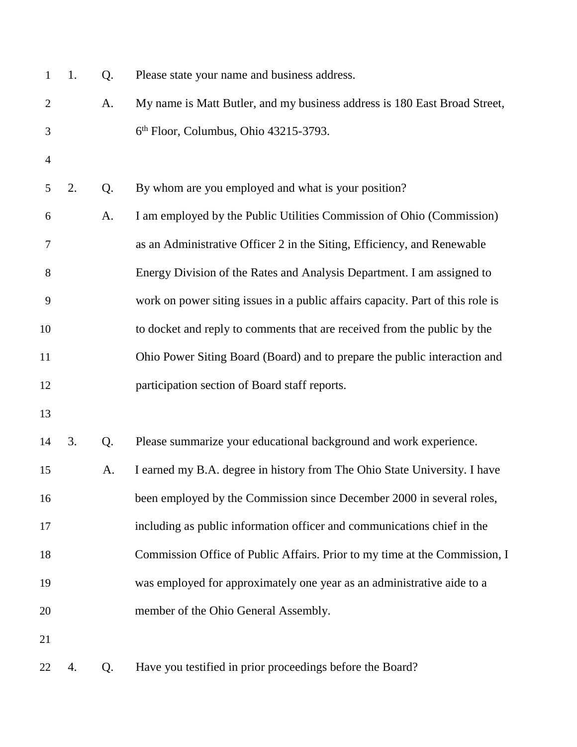| $\mathbf{1}$   | 1. | Q. | Please state your name and business address.                                   |
|----------------|----|----|--------------------------------------------------------------------------------|
| $\overline{2}$ |    | A. | My name is Matt Butler, and my business address is 180 East Broad Street,      |
| 3              |    |    | 6th Floor, Columbus, Ohio 43215-3793.                                          |
| $\overline{4}$ |    |    |                                                                                |
| 5              | 2. | Q. | By whom are you employed and what is your position?                            |
| 6              |    | A. | I am employed by the Public Utilities Commission of Ohio (Commission)          |
| 7              |    |    | as an Administrative Officer 2 in the Siting, Efficiency, and Renewable        |
| 8              |    |    | Energy Division of the Rates and Analysis Department. I am assigned to         |
| 9              |    |    | work on power siting issues in a public affairs capacity. Part of this role is |
| 10             |    |    | to docket and reply to comments that are received from the public by the       |
| 11             |    |    | Ohio Power Siting Board (Board) and to prepare the public interaction and      |
| 12             |    |    | participation section of Board staff reports.                                  |
| 13             |    |    |                                                                                |
| 14             | 3. | Q. | Please summarize your educational background and work experience.              |
| 15             |    | A. | I earned my B.A. degree in history from The Ohio State University. I have      |
| 16             |    |    | been employed by the Commission since December 2000 in several roles,          |
| 17             |    |    | including as public information officer and communications chief in the        |
| 18             |    |    | Commission Office of Public Affairs. Prior to my time at the Commission, I     |
| 19             |    |    | was employed for approximately one year as an administrative aide to a         |
| 20             |    |    | member of the Ohio General Assembly.                                           |
| 21             |    |    |                                                                                |
| 22             | 4. | Q. | Have you testified in prior proceedings before the Board?                      |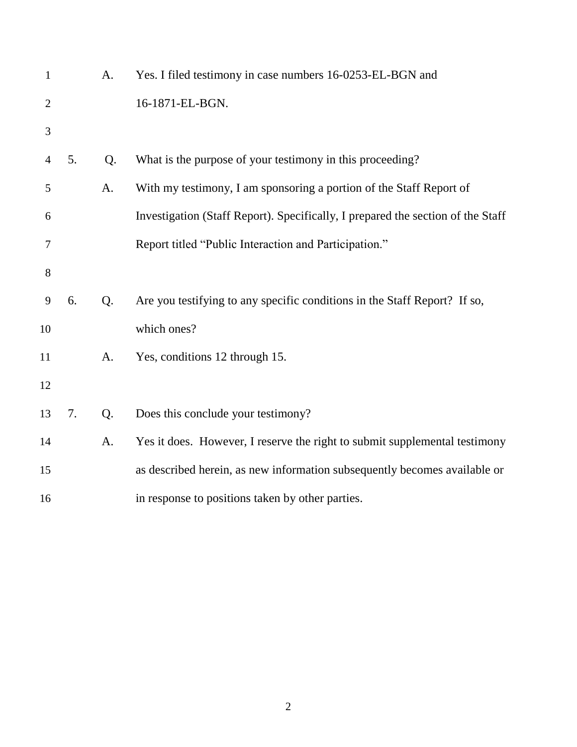| $\mathbf{1}$   |    | A. | Yes. I filed testimony in case numbers 16-0253-EL-BGN and                       |
|----------------|----|----|---------------------------------------------------------------------------------|
| $\overline{2}$ |    |    | 16-1871-EL-BGN.                                                                 |
| 3              |    |    |                                                                                 |
| 4              | 5. | Q. | What is the purpose of your testimony in this proceeding?                       |
| 5              |    | A. | With my testimony, I am sponsoring a portion of the Staff Report of             |
| 6              |    |    | Investigation (Staff Report). Specifically, I prepared the section of the Staff |
| 7              |    |    | Report titled "Public Interaction and Participation."                           |
| 8              |    |    |                                                                                 |
| 9              | 6. | Q. | Are you testifying to any specific conditions in the Staff Report? If so,       |
| 10             |    |    | which ones?                                                                     |
| 11             |    | A. | Yes, conditions 12 through 15.                                                  |
| 12             |    |    |                                                                                 |
| 13             | 7. | Q. | Does this conclude your testimony?                                              |
| 14             |    | A. | Yes it does. However, I reserve the right to submit supplemental testimony      |
| 15             |    |    | as described herein, as new information subsequently becomes available or       |
| 16             |    |    | in response to positions taken by other parties.                                |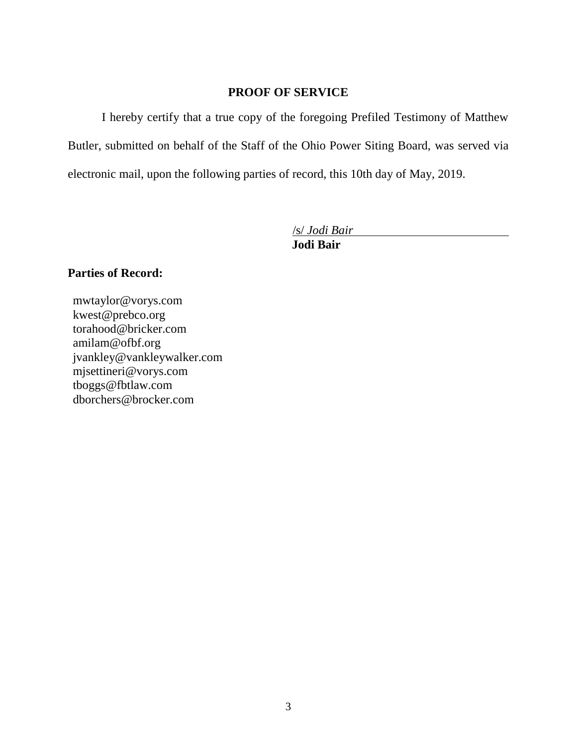### **PROOF OF SERVICE**

I hereby certify that a true copy of the foregoing Prefiled Testimony of Matthew Butler, submitted on behalf of the Staff of the Ohio Power Siting Board, was served via electronic mail, upon the following parties of record, this 10th day of May, 2019.

/s/ *Jodi Bair*

**Jodi Bair**

### **Parties of Record:**

mwtaylor@vorys.com [kwest@prebco.org](mailto:kwest@prebco.org) [torahood@bricker.com](mailto:torahood@bricker.com) [amilam@ofbf.org](mailto:amilam@ofbf.org) [jvankley@vankleywalker.com](mailto:jvankley@vankleywalker.com) [mjsettineri@vorys.com](mailto:mjsettineri@vorys.com) [tboggs@fbtlaw.com](mailto:tboggs@fbtlaw.com) [dborchers@brocker.com](mailto:dborchers@brocker.com)